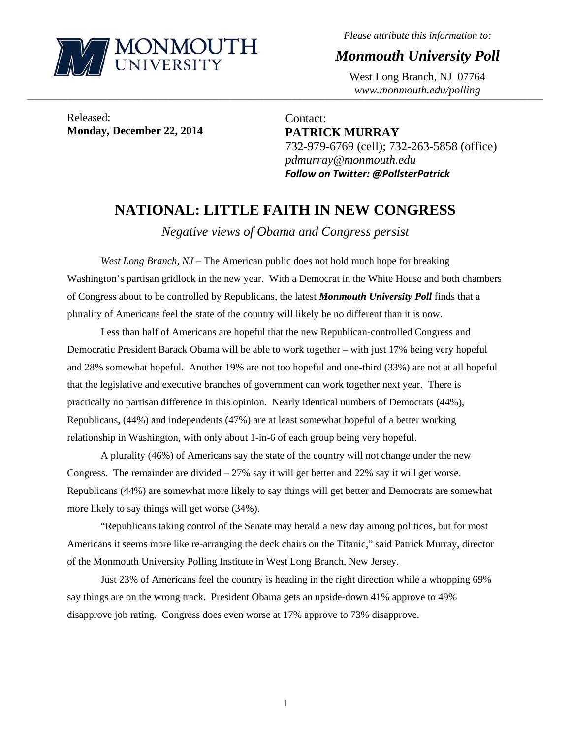

*Please attribute this information to:* 

*Monmouth University Poll* 

West Long Branch, NJ 07764 *www.monmouth.edu/polling* 

Released: **Monday, December 22, 2014** 

Contact: **PATRICK MURRAY**  732-979-6769 (cell); 732-263-5858 (office) *pdmurray@monmouth.edu Follow on Twitter: @PollsterPatrick*

# **NATIONAL: LITTLE FAITH IN NEW CONGRESS**

,一个人的人都是不是,我们的人都是不是,我们的人都是不是,我们的人都是不是,我们的人都是不是,我们的人都是不是,我们的人都是不是,我们的人都是不是,我们的人都是不

*Negative views of Obama and Congress persist* 

*West Long Branch, NJ* – The American public does not hold much hope for breaking Washington's partisan gridlock in the new year. With a Democrat in the White House and both chambers of Congress about to be controlled by Republicans, the latest *Monmouth University Poll* finds that a plurality of Americans feel the state of the country will likely be no different than it is now.

 Less than half of Americans are hopeful that the new Republican-controlled Congress and Democratic President Barack Obama will be able to work together – with just 17% being very hopeful and 28% somewhat hopeful. Another 19% are not too hopeful and one-third (33%) are not at all hopeful that the legislative and executive branches of government can work together next year. There is practically no partisan difference in this opinion. Nearly identical numbers of Democrats (44%), Republicans, (44%) and independents (47%) are at least somewhat hopeful of a better working relationship in Washington, with only about 1-in-6 of each group being very hopeful.

 A plurality (46%) of Americans say the state of the country will not change under the new Congress. The remainder are divided  $-27\%$  say it will get better and 22% say it will get worse. Republicans (44%) are somewhat more likely to say things will get better and Democrats are somewhat more likely to say things will get worse (34%).

 "Republicans taking control of the Senate may herald a new day among politicos, but for most Americans it seems more like re-arranging the deck chairs on the Titanic," said Patrick Murray, director of the Monmouth University Polling Institute in West Long Branch, New Jersey.

 Just 23% of Americans feel the country is heading in the right direction while a whopping 69% say things are on the wrong track. President Obama gets an upside-down 41% approve to 49% disapprove job rating. Congress does even worse at 17% approve to 73% disapprove.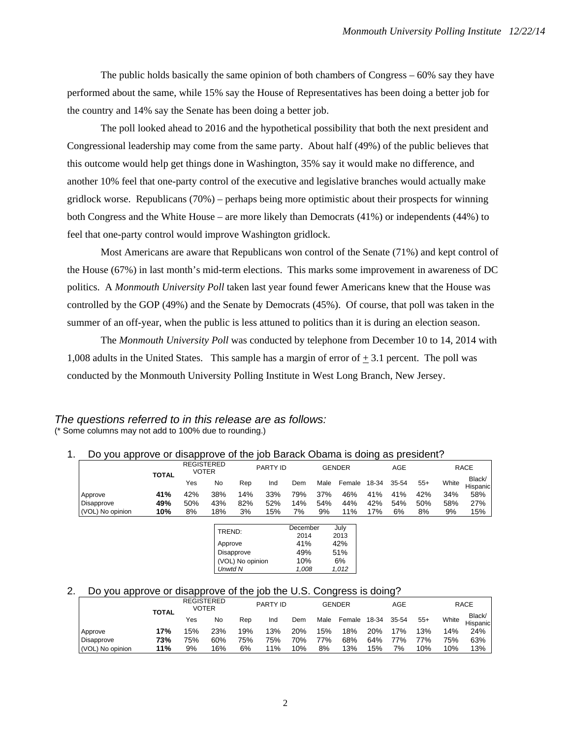The public holds basically the same opinion of both chambers of Congress – 60% say they have performed about the same, while 15% say the House of Representatives has been doing a better job for the country and 14% say the Senate has been doing a better job.

 The poll looked ahead to 2016 and the hypothetical possibility that both the next president and Congressional leadership may come from the same party. About half (49%) of the public believes that this outcome would help get things done in Washington, 35% say it would make no difference, and another 10% feel that one-party control of the executive and legislative branches would actually make gridlock worse. Republicans (70%) – perhaps being more optimistic about their prospects for winning both Congress and the White House – are more likely than Democrats (41%) or independents (44%) to feel that one-party control would improve Washington gridlock.

 Most Americans are aware that Republicans won control of the Senate (71%) and kept control of the House (67%) in last month's mid-term elections. This marks some improvement in awareness of DC politics. A *Monmouth University Poll* taken last year found fewer Americans knew that the House was controlled by the GOP (49%) and the Senate by Democrats (45%). Of course, that poll was taken in the summer of an off-year, when the public is less attuned to politics than it is during an election season.

The *Monmouth University Poll* was conducted by telephone from December 10 to 14, 2014 with 1,008 adults in the United States. This sample has a margin of error of  $\pm$  3.1 percent. The poll was conducted by the Monmouth University Polling Institute in West Long Branch, New Jersey.

#### *The questions referred to in this release are as follows:*  (\* Some columns may not add to 100% due to rounding.)

#### 1. Do you approve or disapprove of the job Barack Obama is doing as president?

|                   |              |     | <b>REGISTERED</b><br>VOTER | <b>PARTY ID</b> |     |     |      | <b>GENDER</b> | AGE   |       |       | <b>RACE</b> |                    |  |
|-------------------|--------------|-----|----------------------------|-----------------|-----|-----|------|---------------|-------|-------|-------|-------------|--------------------|--|
|                   | <b>TOTAL</b> | Yes | No                         | Rep             | Ind | Dem | Male | Female        | 18-34 | 35-54 | $55+$ | White       | Black/<br>Hispanic |  |
| Approve           | 41%          | 42% | 38%                        | 14%             | 33% | 79% | 37%  | 46%           | 41%   | 41%   | 42%   | 34%         | 58%                |  |
| <b>Disapprove</b> | 49%          | 50% | 43%                        | 82%             | 52% | 14% | 54%  | 44%           | 42%   | 54%   | 50%   | 58%         | 27%                |  |
| (VOL) No opinion  | 10%          | 8%  | 18%                        | 3%              | 15% | 7%  | 9%   | 11%           | 17%   | 6%    | 8%    | 9%          | 15%                |  |

| TREND:           | December | July  |
|------------------|----------|-------|
|                  | 2014     | 2013  |
| Approve          | 41%      | 42%   |
| Disapprove       | 49%      | 51%   |
| (VOL) No opinion | 10%      | 6%    |
| <b>Unwtd N</b>   | 1.008    | 1.012 |

## 2. Do you approve or disapprove of the job the U.S. Congress is doing?

|                  | <b>TOTAL</b> |     | <b>REGISTERED</b><br>VOTER |     | PARTY ID |     |      | GENDER |       | AGE       |       |       | RACE               |  |  |
|------------------|--------------|-----|----------------------------|-----|----------|-----|------|--------|-------|-----------|-------|-------|--------------------|--|--|
|                  |              | Yes | No                         | Rep | Ind      | Dem | Male | Female | 18-34 | $35 - 54$ | $55+$ | White | Black/<br>Hispanic |  |  |
| Approve          | 17%          | 15% | 23%                        | 19% | 13%      | 20% | 15%  | 18%    | 20%   | 17%       | 13%   | 14%   | 24%                |  |  |
| Disapprove       | 73%          | 75% | 60%                        | 75% | 75%      | 70% | 77%  | 68%    | 64%   | 77%       | 77%   | 75%   | 63%                |  |  |
| (VOL) No opinion | 11%          | 9%  | 16%                        | 6%  | 11%      | 10% | 8%   | 13%    | 15%   | 7%        | 10%   | 10%   | 13%                |  |  |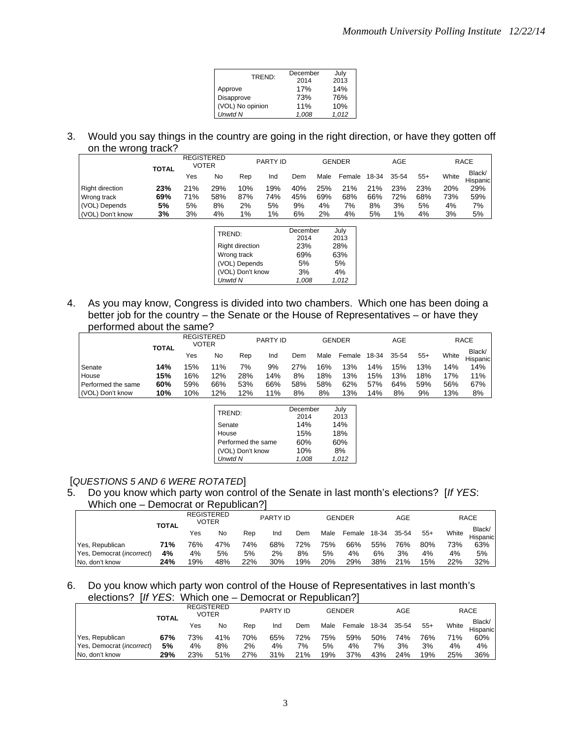| TREND:           | December | July  |
|------------------|----------|-------|
|                  | 2014     | 2013  |
| Approve          | 17%      | 14%   |
| Disapprove       | 73%      | 76%   |
| (VOL) No opinion | 11%      | 10%   |
| <b>Unwtd N</b>   | 1.008    | 1.012 |

3. Would you say things in the country are going in the right direction, or have they gotten off on the wrong track?

|                  | <b>TOTAL</b> |     | <b>REGISTERED</b><br><b>VOTER</b> | <b>PARTY ID</b> |     |     | <b>GENDER</b> |        |       | AGE   |       |       | <b>RACE</b>        |  |  |
|------------------|--------------|-----|-----------------------------------|-----------------|-----|-----|---------------|--------|-------|-------|-------|-------|--------------------|--|--|
|                  |              | Yes | No                                | Rep             | Ind | Dem | Male          | Female | 18-34 | 35-54 | $55+$ | White | Black/<br>Hispanic |  |  |
| Right direction  | 23%          | 21% | 29%                               | 10%             | 19% | 40% | 25%           | 21%    | 21%   | 23%   | 23%   | 20%   | 29%                |  |  |
| Wrong track      | 69%          | 71% | 58%                               | 87%             | 74% | 45% | 69%           | 68%    | 66%   | 72%   | 68%   | 73%   | 59%                |  |  |
| (VOL) Depends    | 5%           | 5%  | 8%                                | 2%              | 5%  | 9%  | 4%            | 7%     | 8%    | 3%    | 5%    | 4%    | 7%                 |  |  |
| (VOL) Don't know | 3%           | 3%  | 4%                                | $1\%$           | 1%  | 6%  | 2%            | 4%     | 5%    | 1%    | 4%    | 3%    | 5%                 |  |  |
|                  |              |     |                                   |                 |     |     |               |        |       |       |       |       |                    |  |  |

| TREND:                 | December | July  |
|------------------------|----------|-------|
|                        | 2014     | 2013  |
| <b>Right direction</b> | 23%      | 28%   |
| Wrong track            | 69%      | 63%   |
| (VOL) Depends          | 5%       | 5%    |
| (VOL) Don't know       | 3%       | 4%    |
| <b>Unwtd N</b>         | 1,008    | 1.012 |

4. As you may know, Congress is divided into two chambers. Which one has been doing a better job for the country – the Senate or the House of Representatives – or have they performed about the same?

|                    | <b>TOTAL</b> | <b>REGISTERED</b><br>VOTER |       | <b>PARTY ID</b> |     |     |      | <b>GENDER</b> | AGE   |       |       |       | <b>RACE</b>        |  |  |
|--------------------|--------------|----------------------------|-------|-----------------|-----|-----|------|---------------|-------|-------|-------|-------|--------------------|--|--|
|                    |              | Yes                        | No    | Rep             | Ind | Dem | Male | Female        | 18-34 | 35-54 | $55+$ | White | Black/<br>Hispanic |  |  |
| Senate             | 14%          | 15%                        | $1\%$ | 7%              | 9%  | 27% | 16%  | 13%           | 14%   | 15%   | 13%   | 14%   | 14%                |  |  |
| House              | 15%          | 16%                        | 12%   | 28%             | 14% | 8%  | 18%  | 13%           | 15%   | 13%   | 18%   | 17%   | 11%                |  |  |
| Performed the same | 60%          | 59%                        | 66%   | 53%             | 66% | 58% | 58%  | 62%           | 57%   | 64%   | 59%   | 56%   | 67%                |  |  |
| (VOL) Don't know   | 10%          | 10%                        | 12%   | 12%             | 11% | 8%  | 8%   | 13%           | 14%   | 8%    | 9%    | 13%   | 8%                 |  |  |

| TREND:             | December | July  |
|--------------------|----------|-------|
|                    | 2014     | 2013  |
| Senate             | 14%      | 14%   |
| House              | 15%      | 18%   |
| Performed the same | 60%      | 60%   |
| (VOL) Don't know   | 10%      | 8%    |
| <b>Unwtd N</b>     | 1.008    | 1.012 |
|                    |          |       |

## [*QUESTIONS 5 AND 6 WERE ROTATED*]

# 5. Do you know which party won control of the Senate in last month's elections? [*If YES*: Which one – Democrat or Republican?]

|                                    | <b>TOTAL</b> |     | <b>REGISTERED</b><br>VOTER |     | <b>PARTY ID</b> |     |      | <b>GENDER</b> |       | AGE   | <b>RACE</b> |       |                    |
|------------------------------------|--------------|-----|----------------------------|-----|-----------------|-----|------|---------------|-------|-------|-------------|-------|--------------------|
|                                    |              | Yes | No                         | Rep | Ind             | Dem | Male | Female        | 18-34 | 35-54 | $55+$       | White | Black/<br>Hispanic |
| Yes, Republican                    | 71%          | 76% | 47%                        | 74% | 68%             | 72% | 75%  | 66%           | 55%   | 76%   | 80%         | 73%   | 63%                |
| Yes, Democrat ( <i>incorrect</i> ) | 4%           | 4%  | 5%                         | 5%  | 2%              | 8%  | 5%   | 4%            | 6%    | 3%    | 4%          | 4%    | 5%                 |
| No. don't know                     | 24%          | 19% | 48%                        | 22% | 30%             | 19% | 20%  | 29%           | 38%   | 21%   | 15%         | 22%   | 32%                |

## 6. Do you know which party won control of the House of Representatives in last month's elections? [*If YES*: Which one – Democrat or Republican?]

|                                    | <b>REGISTERED</b><br>PARTY ID<br><b>GENDER</b><br><b>VOTER</b><br><b>TOTAL</b> |     |     |     |     |     | AGE  |        | <b>RACE</b> |       |       |       |                    |
|------------------------------------|--------------------------------------------------------------------------------|-----|-----|-----|-----|-----|------|--------|-------------|-------|-------|-------|--------------------|
|                                    |                                                                                | Yes | No  | Rep | Ind | Dem | Male | Female | 18-34       | 35-54 | $55+$ | White | Black/<br>Hispanic |
| Yes, Republican                    | 67%                                                                            | 73% | 41% | 70% | 65% | 72% | 75%  | 59%    | 50%         | 74%   | 76%   | 71%   | 60%                |
| Yes, Democrat ( <i>incorrect</i> ) | 5%                                                                             | 4%  | 8%  | 2%  | 4%  | 7%  | 5%   | 4%     | 7%          | 3%    | 3%    | 4%    | 4%                 |
| No. don't know                     | 29%                                                                            | 23% | 51% | 27% | 31% | 21% | 19%  | 37%    | 43%         | 24%   | 19%   | 25%   | 36%                |